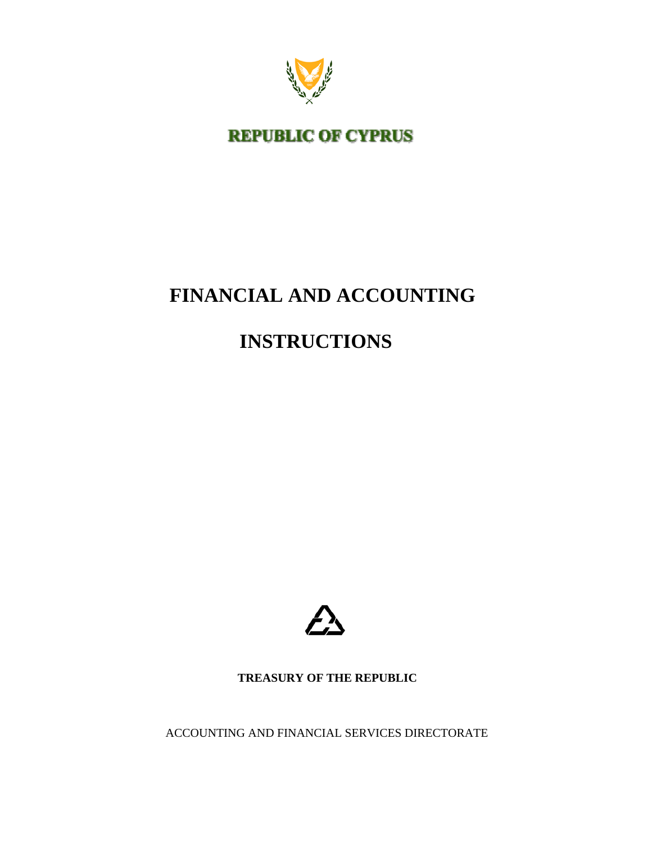

**REPUBLIC OF CYPRUS** 

# **FINANCIAL AND ACCOUNTING**

## **INSTRUCTIONS**



 **TREASURY OF THE REPUBLIC** 

ACCOUNTING AND FINANCIAL SERVICES DIRECTORATE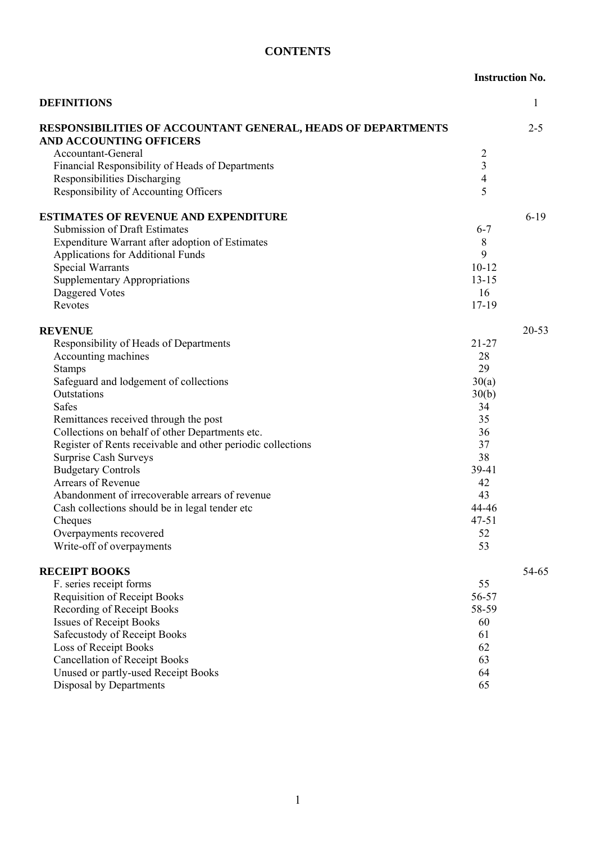## **CONTENTS**

#### **Instruction No.**

| <b>DEFINITIONS</b>                                                                             |                | 1         |
|------------------------------------------------------------------------------------------------|----------------|-----------|
| <b>RESPONSIBILITIES OF ACCOUNTANT GENERAL, HEADS OF DEPARTMENTS</b><br>AND ACCOUNTING OFFICERS |                | $2 - 5$   |
| Accountant-General                                                                             | $\overline{c}$ |           |
| Financial Responsibility of Heads of Departments                                               | $\overline{3}$ |           |
| <b>Responsibilities Discharging</b>                                                            | 4              |           |
| Responsibility of Accounting Officers                                                          | 5              |           |
| <b>ESTIMATES OF REVENUE AND EXPENDITURE</b>                                                    |                | $6-19$    |
| <b>Submission of Draft Estimates</b>                                                           | $6 - 7$        |           |
| Expenditure Warrant after adoption of Estimates                                                | 8              |           |
| Applications for Additional Funds                                                              | 9              |           |
| <b>Special Warrants</b>                                                                        | $10 - 12$      |           |
| <b>Supplementary Appropriations</b>                                                            | $13 - 15$      |           |
| Daggered Votes                                                                                 | 16             |           |
| Revotes                                                                                        | $17 - 19$      |           |
| <b>REVENUE</b>                                                                                 |                | $20 - 53$ |
| Responsibility of Heads of Departments                                                         | $21 - 27$      |           |
| Accounting machines                                                                            | 28             |           |
| <b>Stamps</b>                                                                                  | 29             |           |
| Safeguard and lodgement of collections                                                         | 30(a)          |           |
| Outstations                                                                                    | 30(b)          |           |
| <b>Safes</b>                                                                                   | 34             |           |
| Remittances received through the post                                                          | 35             |           |
| Collections on behalf of other Departments etc.                                                | 36             |           |
| Register of Rents receivable and other periodic collections                                    | 37             |           |
| Surprise Cash Surveys                                                                          | 38             |           |
| <b>Budgetary Controls</b>                                                                      | 39-41          |           |
| Arrears of Revenue                                                                             | 42             |           |
| Abandonment of irrecoverable arrears of revenue                                                | 43             |           |
| Cash collections should be in legal tender etc.                                                | 44-46          |           |
| Cheques                                                                                        | $47 - 51$      |           |
| Overpayments recovered                                                                         | 52             |           |
| Write-off of overpayments                                                                      | 53             |           |
| <b>RECEIPT BOOKS</b>                                                                           |                | 54-65     |
| F. series receipt forms                                                                        | 55             |           |
| <b>Requisition of Receipt Books</b>                                                            | 56-57          |           |
| <b>Recording of Receipt Books</b>                                                              | 58-59          |           |
| <b>Issues of Receipt Books</b>                                                                 | 60             |           |
| Safecustody of Receipt Books                                                                   | 61             |           |
| Loss of Receipt Books                                                                          | 62             |           |
| <b>Cancellation of Receipt Books</b>                                                           | 63             |           |
| Unused or partly-used Receipt Books                                                            | 64             |           |
| Disposal by Departments                                                                        | 65             |           |
|                                                                                                |                |           |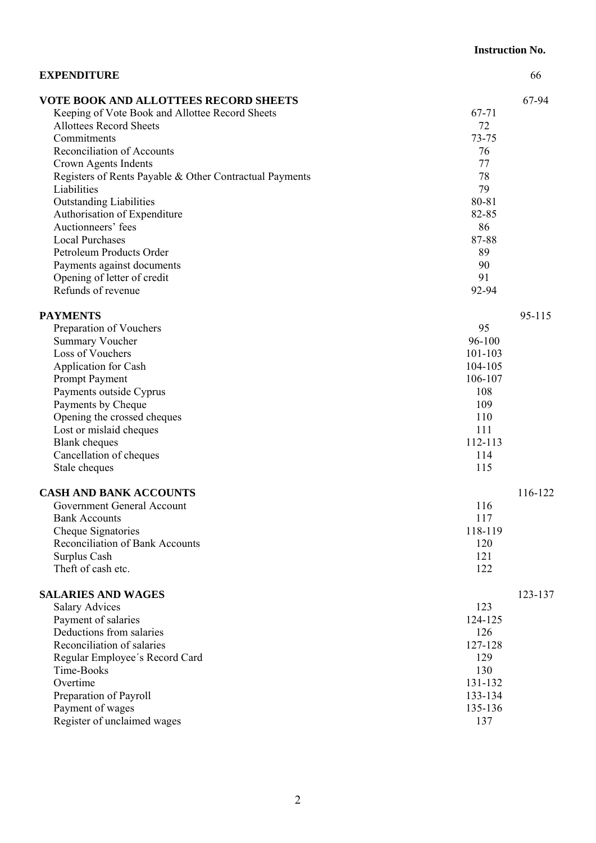|                                                         | <b>Instruction No.</b> |
|---------------------------------------------------------|------------------------|
| <b>EXPENDITURE</b>                                      | 66                     |
| <b>VOTE BOOK AND ALLOTTEES RECORD SHEETS</b>            | 67-94                  |
| Keeping of Vote Book and Allottee Record Sheets         | 67-71                  |
| <b>Allottees Record Sheets</b>                          | 72                     |
| Commitments                                             | 73-75                  |
| Reconciliation of Accounts                              | 76                     |
| Crown Agents Indents                                    | 77                     |
| Registers of Rents Payable & Other Contractual Payments | 78                     |
| Liabilities                                             | 79                     |
| <b>Outstanding Liabilities</b>                          | 80-81                  |
| Authorisation of Expenditure                            | 82-85                  |
| Auctionneers' fees                                      | 86                     |
| <b>Local Purchases</b>                                  | 87-88                  |
| Petroleum Products Order                                | 89                     |
| Payments against documents                              | 90                     |
| Opening of letter of credit                             | 91                     |
| Refunds of revenue                                      | 92-94                  |
| <b>PAYMENTS</b>                                         | 95-115                 |
| Preparation of Vouchers                                 | 95                     |
| <b>Summary Voucher</b>                                  | 96-100                 |
| Loss of Vouchers                                        | 101-103                |
| Application for Cash                                    | 104-105                |
| Prompt Payment                                          | 106-107                |
| Payments outside Cyprus                                 | 108                    |
| Payments by Cheque                                      | 109                    |
| Opening the crossed cheques                             | 110                    |
| Lost or mislaid cheques                                 | 111                    |
| <b>Blank</b> cheques                                    | 112-113                |
| Cancellation of cheques                                 | 114                    |
| Stale cheques                                           | 115                    |
| <b>CASH AND BANK ACCOUNTS</b>                           | 116-122                |
| Government General Account                              | 116                    |
| <b>Bank Accounts</b>                                    | 117                    |
| Cheque Signatories                                      | 118-119                |
| Reconciliation of Bank Accounts                         | 120                    |
| Surplus Cash                                            | 121                    |
| Theft of cash etc.                                      | 122                    |
| <b>SALARIES AND WAGES</b>                               | 123-137                |
| <b>Salary Advices</b>                                   | 123                    |
| Payment of salaries                                     | 124-125                |
| Deductions from salaries                                | 126                    |
| Reconciliation of salaries                              | 127-128                |
| Regular Employee's Record Card                          | 129                    |
| Time-Books                                              | 130                    |
| Overtime                                                | 131-132                |
| Preparation of Payroll                                  | 133-134                |
| Payment of wages                                        | 135-136                |
| Register of unclaimed wages                             | 137                    |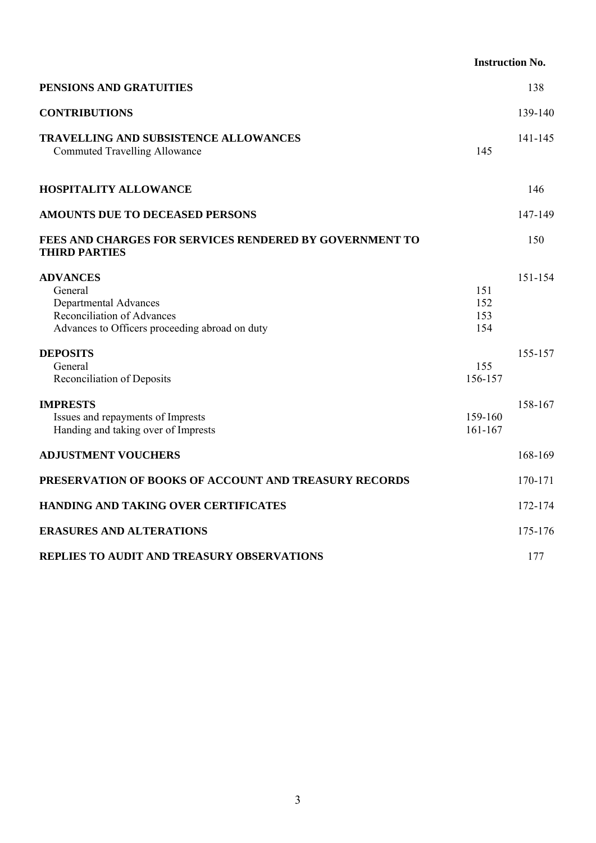|                                                                                                                                            | <b>Instruction No.</b>   |         |
|--------------------------------------------------------------------------------------------------------------------------------------------|--------------------------|---------|
| PENSIONS AND GRATUITIES                                                                                                                    |                          | 138     |
| <b>CONTRIBUTIONS</b>                                                                                                                       |                          | 139-140 |
| TRAVELLING AND SUBSISTENCE ALLOWANCES<br><b>Commuted Travelling Allowance</b>                                                              | 145                      | 141-145 |
| <b>HOSPITALITY ALLOWANCE</b>                                                                                                               |                          | 146     |
| <b>AMOUNTS DUE TO DECEASED PERSONS</b>                                                                                                     |                          | 147-149 |
| FEES AND CHARGES FOR SERVICES RENDERED BY GOVERNMENT TO<br><b>THIRD PARTIES</b>                                                            |                          | 150     |
| <b>ADVANCES</b><br>General<br>Departmental Advances<br><b>Reconciliation of Advances</b><br>Advances to Officers proceeding abroad on duty | 151<br>152<br>153<br>154 | 151-154 |
| <b>DEPOSITS</b><br>General<br>Reconciliation of Deposits                                                                                   | 155<br>156-157           | 155-157 |
| <b>IMPRESTS</b><br>Issues and repayments of Imprests<br>Handing and taking over of Imprests                                                | 159-160<br>161-167       | 158-167 |
| <b>ADJUSTMENT VOUCHERS</b>                                                                                                                 |                          | 168-169 |
| PRESERVATION OF BOOKS OF ACCOUNT AND TREASURY RECORDS                                                                                      |                          | 170-171 |
| HANDING AND TAKING OVER CERTIFICATES                                                                                                       |                          | 172-174 |
| <b>ERASURES AND ALTERATIONS</b>                                                                                                            |                          | 175-176 |
| REPLIES TO AUDIT AND TREASURY OBSERVATIONS                                                                                                 |                          | 177     |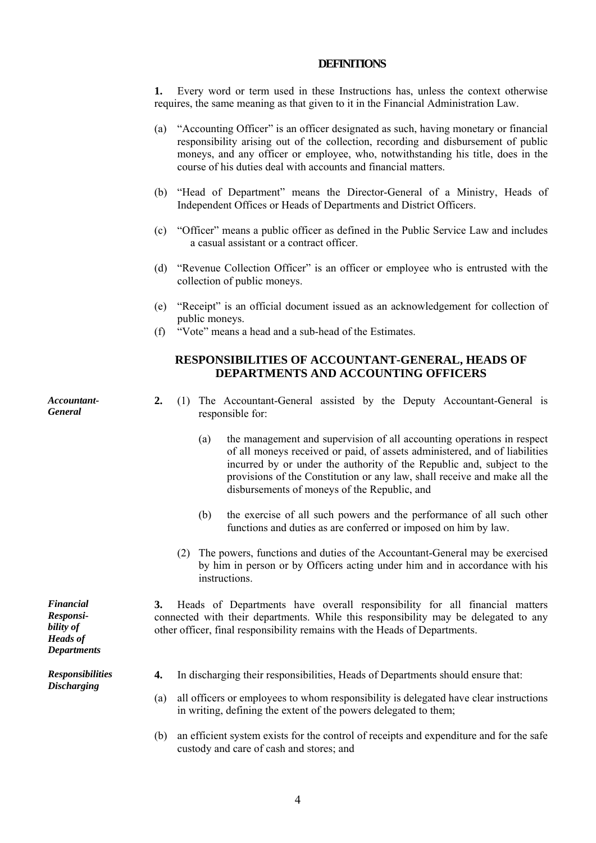#### **DEFINITIONS**

**1.** Every word or term used in these Instructions has, unless the context otherwise requires, the same meaning as that given to it in the Financial Administration Law.

- (a) "Accounting Officer" is an officer designated as such, having monetary or financial responsibility arising out of the collection, recording and disbursement of public moneys, and any officer or employee, who, notwithstanding his title, does in the course of his duties deal with accounts and financial matters.
- (b) "Head of Department" means the Director-General of a Ministry, Heads of Independent Offices or Heads of Departments and District Officers.
- (c) "Officer" means a public officer as defined in the Public Service Law and includes a casual assistant or a contract officer.
- (d) "Revenue Collection Officer" is an officer or employee who is entrusted with the collection of public moneys.
- (e) "Receipt" is an official document issued as an acknowledgement for collection of public moneys.
- (f) "Vote" means a head and a sub-head of the Estimates.

## **RESPONSIBILITIES OF ACCOUNTANT-GENERAL, HEADS OF DEPARTMENTS AND ACCOUNTING OFFICERS**

*Accountant-General* 

- **2.** (1) The Accountant-General assisted by the Deputy Accountant-General is responsible for:
	- (a) the management and supervision of all accounting operations in respect of all moneys received or paid, of assets administered, and of liabilities incurred by or under the authority of the Republic and, subject to the provisions of the Constitution or any law, shall receive and make all the disbursements of moneys of the Republic, and
	- (b) the exercise of all such powers and the performance of all such other functions and duties as are conferred or imposed on him by law.
	- (2) The powers, functions and duties of the Accountant-General may be exercised by him in person or by Officers acting under him and in accordance with his instructions.

**3.** Heads of Departments have overall responsibility for all financial matters connected with their departments. While this responsibility may be delegated to any other officer, final responsibility remains with the Heads of Departments.

- **4.** In discharging their responsibilities, Heads of Departments should ensure that:
- (a) all officers or employees to whom responsibility is delegated have clear instructions in writing, defining the extent of the powers delegated to them;
- (b) an efficient system exists for the control of receipts and expenditure and for the safe custody and care of cash and stores; and

*Responsibility of Heads of Departments* 

*Financial* 

*Responsibilities Discharging*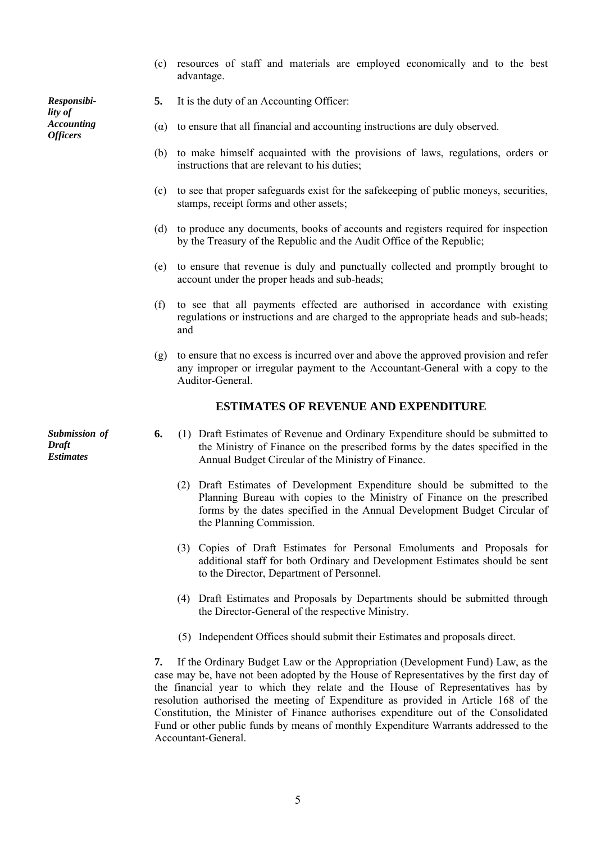(c) resources of staff and materials are employed economically and to the best advantage.

*Responsibility of Accounting* 

- **5.** It is the duty of an Accounting Officer:
- *Accounting* ( $\alpha$ ) to ensure that all financial and accounting instructions are duly observed.<br>*Officers* 
	- (b) to make himself acquainted with the provisions of laws, regulations, orders or instructions that are relevant to his duties;
	- (c) to see that proper safeguards exist for the safekeeping of public moneys, securities, stamps, receipt forms and other assets;
	- (d) to produce any documents, books of accounts and registers required for inspection by the Treasury of the Republic and the Audit Office of the Republic;
	- (e) to ensure that revenue is duly and punctually collected and promptly brought to account under the proper heads and sub-heads;
	- (f) to see that all payments effected are authorised in accordance with existing regulations or instructions and are charged to the appropriate heads and sub-heads; and
	- (g) to ensure that no excess is incurred over and above the approved provision and refer any improper or irregular payment to the Accountant-General with a copy to the Auditor-General.

## **ESTIMATES OF REVENUE AND EXPENDITURE**

- **6.** (1) Draft Estimates of Revenue and Ordinary Expenditure should be submitted to the Ministry of Finance on the prescribed forms by the dates specified in the Annual Budget Circular of the Ministry of Finance.
	- (2) Draft Estimates of Development Expenditure should be submitted to the Planning Bureau with copies to the Ministry of Finance on the prescribed forms by the dates specified in the Annual Development Budget Circular of the Planning Commission.
	- (3) Copies of Draft Estimates for Personal Emoluments and Proposals for additional staff for both Ordinary and Development Estimates should be sent to the Director, Department of Personnel.
	- (4) Draft Estimates and Proposals by Departments should be submitted through the Director-General of the respective Ministry.
	- (5) Independent Offices should submit their Estimates and proposals direct.

**7.** If the Ordinary Budget Law or the Appropriation (Development Fund) Law, as the case may be, have not been adopted by the House of Representatives by the first day of the financial year to which they relate and the House of Representatives has by resolution authorised the meeting of Expenditure as provided in Article 168 of the Constitution, the Minister of Finance authorises expenditure out of the Consolidated Fund or other public funds by means of monthly Expenditure Warrants addressed to the Accountant-General.

*Submission of Draft Estimates*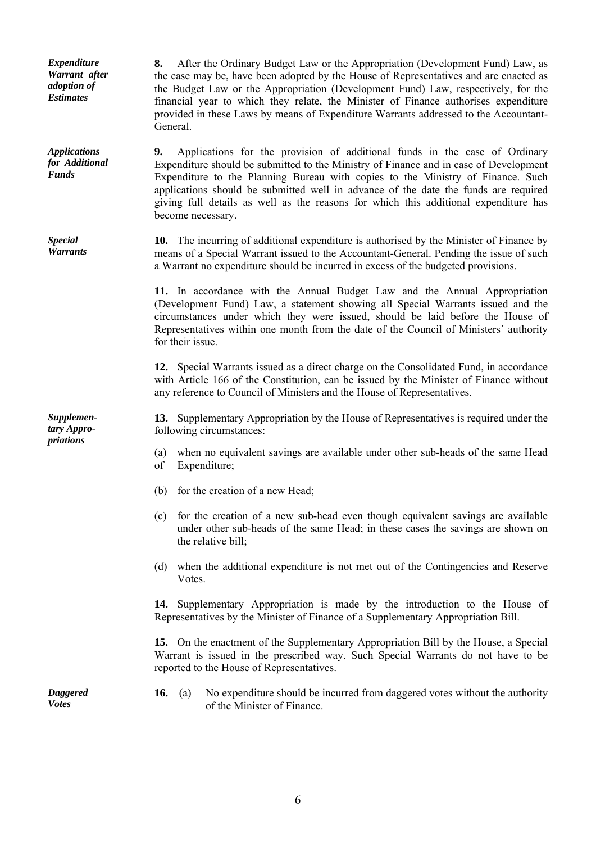*Expenditure Warrant after adoption of Estimates* 

*Applications for Additional Funds* 

*Special Warrants* 

*Supplementary Appropriations* 

**8.** After the Ordinary Budget Law or the Appropriation (Development Fund) Law, as the case may be, have been adopted by the House of Representatives and are enacted as the Budget Law or the Appropriation (Development Fund) Law, respectively, for the financial year to which they relate, the Minister of Finance authorises expenditure provided in these Laws by means of Expenditure Warrants addressed to the Accountant-General.

**9.** Applications for the provision of additional funds in the case of Ordinary Expenditure should be submitted to the Ministry of Finance and in case of Development Expenditure to the Planning Bureau with copies to the Ministry of Finance. Such applications should be submitted well in advance of the date the funds are required giving full details as well as the reasons for which this additional expenditure has become necessary.

**10.** The incurring of additional expenditure is authorised by the Minister of Finance by means of a Special Warrant issued to the Accountant-General. Pending the issue of such a Warrant no expenditure should be incurred in excess of the budgeted provisions.

 **11.** In accordance with the Annual Budget Law and the Annual Appropriation (Development Fund) Law, a statement showing all Special Warrants issued and the circumstances under which they were issued, should be laid before the House of Representatives within one month from the date of the Council of Ministers΄ authority for their issue.

 **12.** Special Warrants issued as a direct charge on the Consolidated Fund, in accordance with Article 166 of the Constitution, can be issued by the Minister of Finance without any reference to Council of Ministers and the House of Representatives.

**13.** Supplementary Appropriation by the House of Representatives is required under the following circumstances:

- (a) when no equivalent savings are available under other sub-heads of the same Head of Expenditure;
- (b) for the creation of a new Head;
- (c) for the creation of a new sub-head even though equivalent savings are available under other sub-heads of the same Head; in these cases the savings are shown on the relative bill;
- (d) when the additional expenditure is not met out of the Contingencies and Reserve Votes.

 **14.** Supplementary Appropriation is made by the introduction to the House of Representatives by the Minister of Finance of a Supplementary Appropriation Bill.

 **15.** On the enactment of the Supplementary Appropriation Bill by the House, a Special Warrant is issued in the prescribed way. Such Special Warrants do not have to be reported to the House of Representatives.

*Daggered Votes* 

**16.** (a) No expenditure should be incurred from daggered votes without the authority of the Minister of Finance.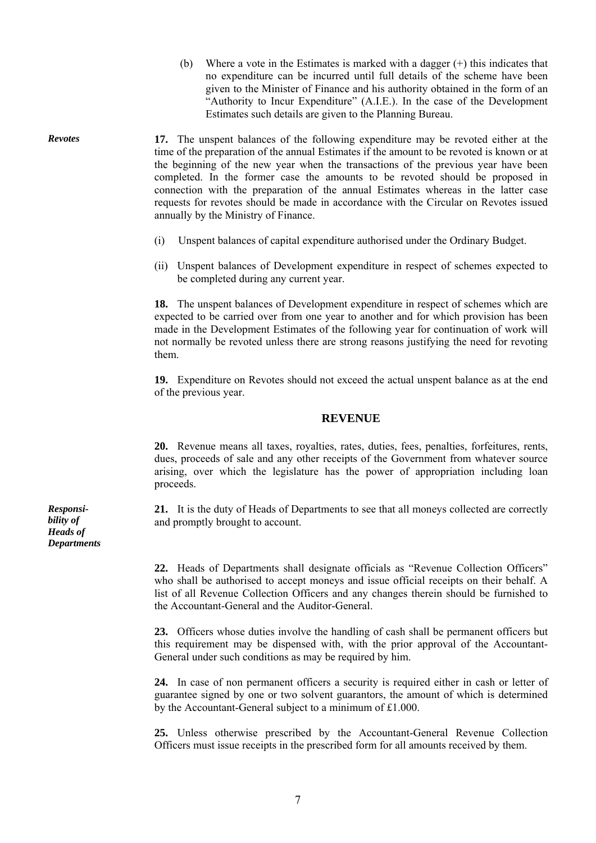(b) Where a vote in the Estimates is marked with a dagger (+) this indicates that no expenditure can be incurred until full details of the scheme have been given to the Minister of Finance and his authority obtained in the form of an "Authority to Incur Expenditure" (A.I.E.). In the case of the Development Estimates such details are given to the Planning Bureau.

*Revotes* **17.** The unspent balances of the following expenditure may be revoted either at the time of the preparation of the annual Estimates if the amount to be revoted is known or at the beginning of the new year when the transactions of the previous year have been completed. In the former case the amounts to be revoted should be proposed in connection with the preparation of the annual Estimates whereas in the latter case requests for revotes should be made in accordance with the Circular on Revotes issued annually by the Ministry of Finance.

- (i) Unspent balances of capital expenditure authorised under the Ordinary Budget.
- (ii) Unspent balances of Development expenditure in respect of schemes expected to be completed during any current year.

**18.** The unspent balances of Development expenditure in respect of schemes which are expected to be carried over from one year to another and for which provision has been made in the Development Estimates of the following year for continuation of work will not normally be revoted unless there are strong reasons justifying the need for revoting them.

 **19.** Expenditure on Revotes should not exceed the actual unspent balance as at the end of the previous year.

#### **REVENUE**

 **20.** Revenue means all taxes, royalties, rates, duties, fees, penalties, forfeitures, rents, dues, proceeds of sale and any other receipts of the Government from whatever source arising, over which the legislature has the power of appropriation including loan proceeds.

**21.** It is the duty of Heads of Departments to see that all moneys collected are correctly and promptly brought to account.

**22.** Heads of Departments shall designate officials as "Revenue Collection Officers" who shall be authorised to accept moneys and issue official receipts on their behalf. A list of all Revenue Collection Officers and any changes therein should be furnished to the Accountant-General and the Auditor-General.

 **23.** Officers whose duties involve the handling of cash shall be permanent officers but this requirement may be dispensed with, with the prior approval of the Accountant-General under such conditions as may be required by him.

 **24.** In case of non permanent officers a security is required either in cash or letter of guarantee signed by one or two solvent guarantors, the amount of which is determined by the Accountant-General subject to a minimum of £1.000.

 **25.** Unless otherwise prescribed by the Accountant-General Revenue Collection Officers must issue receipts in the prescribed form for all amounts received by them.

*Responsibility of Heads of Departments*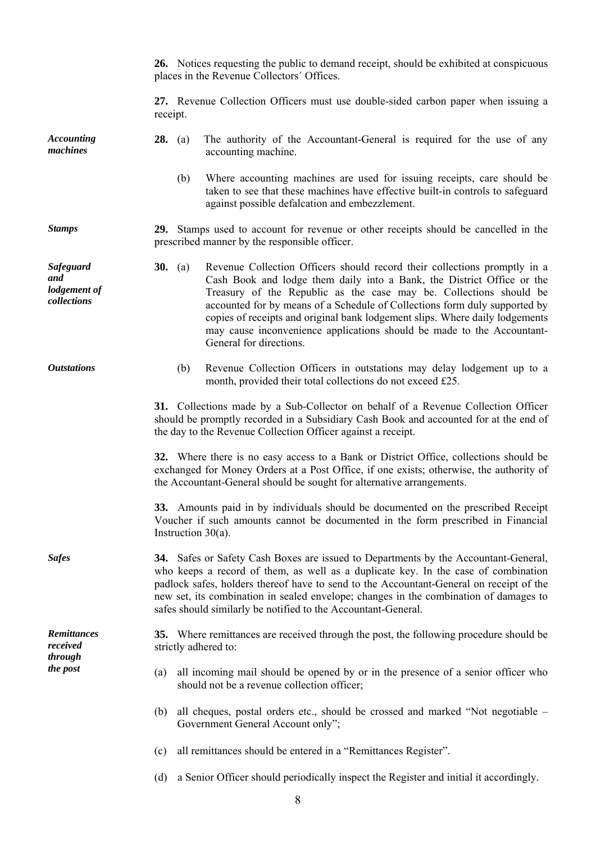**26.** Notices requesting the public to demand receipt, should be exhibited at conspicuous places in the Revenue Collectors΄ Offices.  **27.** Revenue Collection Officers must use double-sided carbon paper when issuing a receipt. *Accounting machines*  **28.** (a) The authority of the Accountant-General is required for the use of any accounting machine. (b) Where accounting machines are used for issuing receipts, care should be taken to see that these machines have effective built-in controls to safeguard against possible defalcation and embezzlement. *Stamps* **29.** Stamps used to account for revenue or other receipts should be cancelled in the prescribed manner by the responsible officer. *Safeguard and lodgement of collections*  **30.** (a) Revenue Collection Officers should record their collections promptly in a Cash Book and lodge them daily into a Bank, the District Office or the Treasury of the Republic as the case may be. Collections should be accounted for by means of a Schedule of Collections form duly supported by copies of receipts and original bank lodgement slips. Where daily lodgements may cause inconvenience applications should be made to the Accountant-General for directions. *Outstations* (b) Revenue Collection Officers in outstations may delay lodgement up to a month, provided their total collections do not exceed £25.  **31.** Collections made by a Sub-Collector on behalf of a Revenue Collection Officer should be promptly recorded in a Subsidiary Cash Book and accounted for at the end of the day to the Revenue Collection Officer against a receipt.  **32.** Where there is no easy access to a Bank or District Office, collections should be exchanged for Money Orders at a Post Office, if one exists; otherwise, the authority of the Accountant-General should be sought for alternative arrangements. **33.** Amounts paid in by individuals should be documented on the prescribed Receipt Voucher if such amounts cannot be documented in the form prescribed in Financial Instruction 30(a). *Safes* **34.** Safes or Safety Cash Boxes are issued to Departments by the Accountant-General, who keeps a record of them, as well as a duplicate key. In the case of combination padlock safes, holders thereof have to send to the Accountant-General on receipt of the new set, its combination in sealed envelope; changes in the combination of damages to safes should similarly be notified to the Accountant-General. **35.** Where remittances are received through the post, the following procedure should be strictly adhered to: *Remittances received through the post* (a) all incoming mail should be opened by or in the presence of a senior officer who should not be a revenue collection officer; (b) all cheques, postal orders etc., should be crossed and marked "Not negotiable – Government General Account only"; (c) all remittances should be entered in a "Remittances Register". (d) a Senior Officer should periodically inspect the Register and initial it accordingly.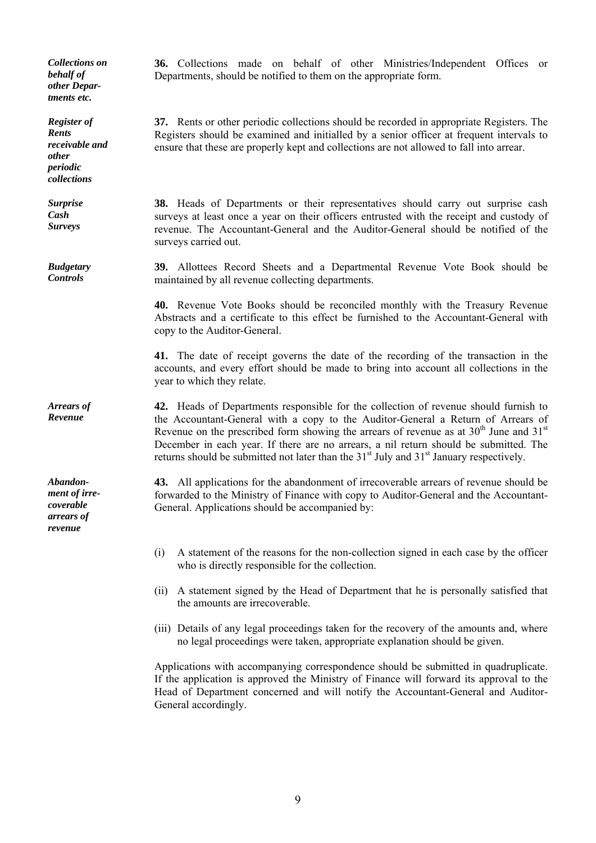*Collections on behalf of other Departments etc.* 

*Register of Rents receivable and other periodic collections* 

*Surprise Cash Surveys* 

*Budgetary Controls* 

*Arrears of Revenue* 

*Abandonment of irrecoverable arrears of revenue* 

**36.** Collections made on behalf of other Ministries/Independent Offices or Departments, should be notified to them on the appropriate form.

**37.** Rents or other periodic collections should be recorded in appropriate Registers. The Registers should be examined and initialled by a senior officer at frequent intervals to ensure that these are properly kept and collections are not allowed to fall into arrear.

**38.** Heads of Departments or their representatives should carry out surprise cash surveys at least once a year on their officers entrusted with the receipt and custody of revenue. The Accountant-General and the Auditor-General should be notified of the surveys carried out.

**39.** Allottees Record Sheets and a Departmental Revenue Vote Book should be maintained by all revenue collecting departments.

 **40.** Revenue Vote Books should be reconciled monthly with the Treasury Revenue Abstracts and a certificate to this effect be furnished to the Accountant-General with copy to the Auditor-General.

 **41.** The date of receipt governs the date of the recording of the transaction in the accounts, and every effort should be made to bring into account all collections in the year to which they relate.

**42.** Heads of Departments responsible for the collection of revenue should furnish to the Accountant-General with a copy to the Auditor-General a Return of Arrears of Revenue on the prescribed form showing the arrears of revenue as at  $30<sup>th</sup>$  June and  $31<sup>st</sup>$ December in each year. If there are no arrears, a nil return should be submitted. The returns should be submitted not later than the  $31<sup>st</sup>$  July and  $31<sup>st</sup>$  January respectively.

**43.** All applications for the abandonment of irrecoverable arrears of revenue should be forwarded to the Ministry of Finance with copy to Auditor-General and the Accountant-General. Applications should be accompanied by:

- (i) A statement of the reasons for the non-collection signed in each case by the officer who is directly responsible for the collection.
- (ii) A statement signed by the Head of Department that he is personally satisfied that the amounts are irrecoverable.
- (iii) Details of any legal proceedings taken for the recovery of the amounts and, where no legal proceedings were taken, appropriate explanation should be given.

 Applications with accompanying correspondence should be submitted in quadruplicate. If the application is approved the Ministry of Finance will forward its approval to the Head of Department concerned and will notify the Accountant-General and Auditor-General accordingly.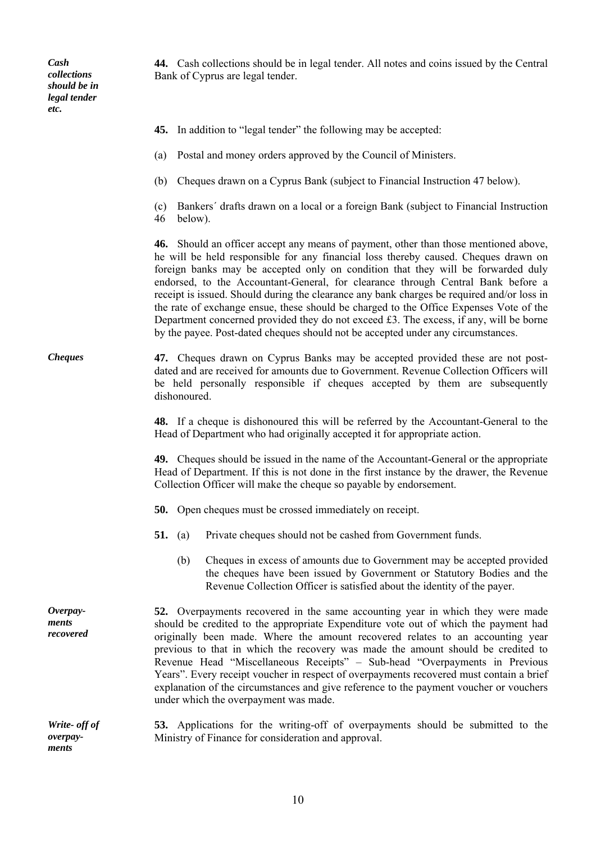*Cash collections should be in legal tender etc.* 

*ments* 

**44.** Cash collections should be in legal tender. All notes and coins issued by the Central Bank of Cyprus are legal tender.

**45.** In addition to "legal tender" the following may be accepted: (a) Postal and money orders approved by the Council of Ministers. (b) Cheques drawn on a Cyprus Bank (subject to Financial Instruction 47 below). (c) Bankers΄ drafts drawn on a local or a foreign Bank (subject to Financial Instruction 46 below).  **46.** Should an officer accept any means of payment, other than those mentioned above, he will be held responsible for any financial loss thereby caused. Cheques drawn on foreign banks may be accepted only on condition that they will be forwarded duly endorsed, to the Accountant-General, for clearance through Central Bank before a receipt is issued. Should during the clearance any bank charges be required and/or loss in the rate of exchange ensue, these should be charged to the Office Expenses Vote of the Department concerned provided they do not exceed £3. The excess, if any, will be borne by the payee. Post-dated cheques should not be accepted under any circumstances. *Cheques* **47.** Cheques drawn on Cyprus Banks may be accepted provided these are not postdated and are received for amounts due to Government. Revenue Collection Officers will be held personally responsible if cheques accepted by them are subsequently dishonoured.  **48.** If a cheque is dishonoured this will be referred by the Accountant-General to the Head of Department who had originally accepted it for appropriate action.  **49.** Cheques should be issued in the name of the Accountant-General or the appropriate Head of Department. If this is not done in the first instance by the drawer, the Revenue Collection Officer will make the cheque so payable by endorsement.  **50.** Open cheques must be crossed immediately on receipt.  **51.** (a) Private cheques should not be cashed from Government funds. (b) Cheques in excess of amounts due to Government may be accepted provided the cheques have been issued by Government or Statutory Bodies and the Revenue Collection Officer is satisfied about the identity of the payer. *Overpayments recovered*  **52.** Overpayments recovered in the same accounting year in which they were made should be credited to the appropriate Expenditure vote out of which the payment had originally been made. Where the amount recovered relates to an accounting year previous to that in which the recovery was made the amount should be credited to Revenue Head "Miscellaneous Receipts" – Sub-head "Overpayments in Previous Years". Every receipt voucher in respect of overpayments recovered must contain a brief explanation of the circumstances and give reference to the payment voucher or vouchers under which the overpayment was made. *Write- off of overpay-***53.** Applications for the writing-off of overpayments should be submitted to the Ministry of Finance for consideration and approval.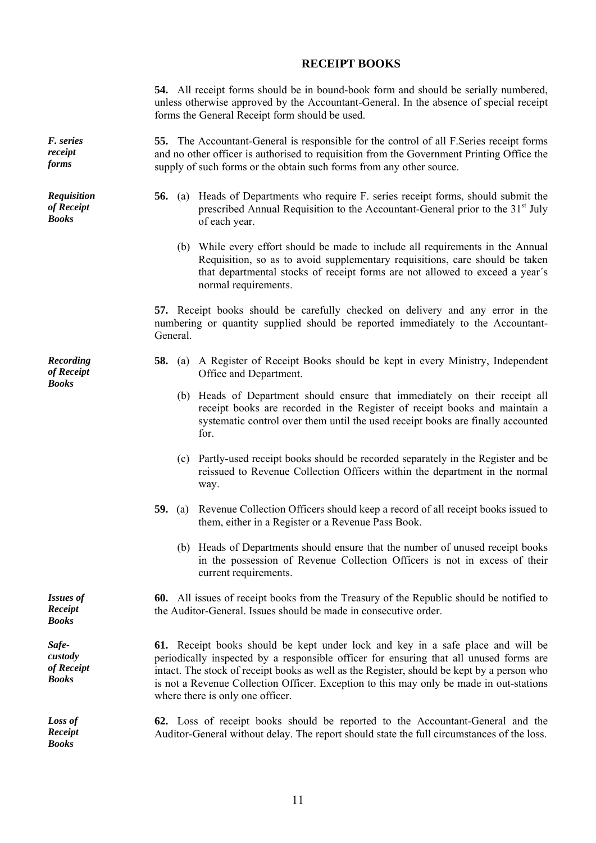## **RECEIPT BOOKS**

 **54.** All receipt forms should be in bound-book form and should be serially numbered, unless otherwise approved by the Accountant-General. In the absence of special receipt forms the General Receipt form should be used.

**55.** The Accountant-General is responsible for the control of all F.Series receipt forms and no other officer is authorised to requisition from the Government Printing Office the supply of such forms or the obtain such forms from any other source.

- **56.** (a) Heads of Departments who require F. series receipt forms, should submit the prescribed Annual Requisition to the Accountant-General prior to the 31<sup>st</sup> July of each year.
	- (b) While every effort should be made to include all requirements in the Annual Requisition, so as to avoid supplementary requisitions, care should be taken that departmental stocks of receipt forms are not allowed to exceed a year΄s normal requirements.

 **57.** Receipt books should be carefully checked on delivery and any error in the numbering or quantity supplied should be reported immediately to the Accountant-General.

- **58.** (a) A Register of Receipt Books should be kept in every Ministry, Independent Office and Department.
	- (b) Heads of Department should ensure that immediately on their receipt all receipt books are recorded in the Register of receipt books and maintain a systematic control over them until the used receipt books are finally accounted for.
	- (c) Partly-used receipt books should be recorded separately in the Register and be reissued to Revenue Collection Officers within the department in the normal way.
- **59.** (a) Revenue Collection Officers should keep a record of all receipt books issued to them, either in a Register or a Revenue Pass Book.
	- (b) Heads of Departments should ensure that the number of unused receipt books in the possession of Revenue Collection Officers is not in excess of their current requirements.

**60.** All issues of receipt books from the Treasury of the Republic should be notified to the Auditor-General. Issues should be made in consecutive order.

**61.** Receipt books should be kept under lock and key in a safe place and will be periodically inspected by a responsible officer for ensuring that all unused forms are intact. The stock of receipt books as well as the Register, should be kept by a person who is not a Revenue Collection Officer. Exception to this may only be made in out-stations where there is only one officer.

**62.** Loss of receipt books should be reported to the Accountant-General and the Auditor-General without delay. The report should state the full circumstances of the loss.

*F. series receipt forms* 

*Requisition of Receipt Books* 

*Recording of Receipt Books* 

*Issues of Receipt Books* 

*Safecustody of Receipt Books* 

*Loss of Receipt Books*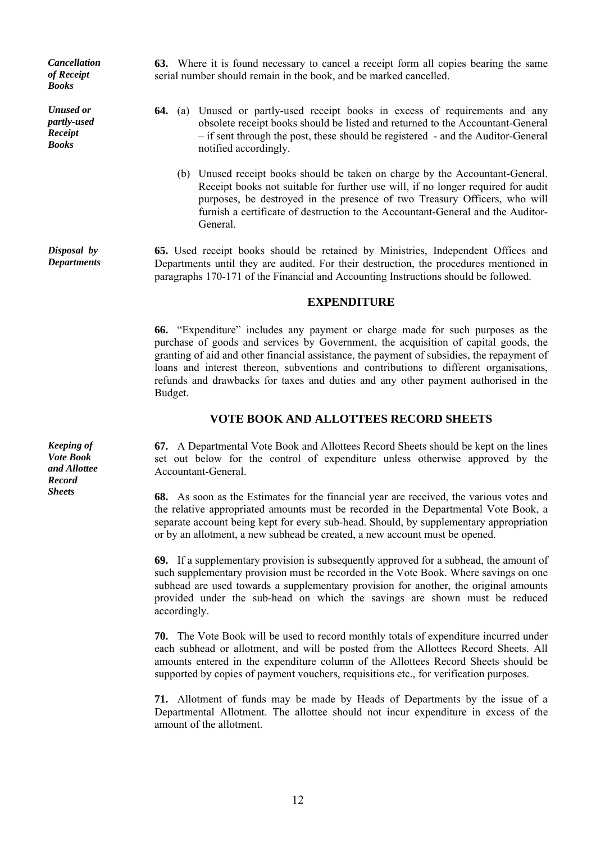*Cancellation of Receipt Books* 

*Unused or partly-used Receipt Books* 

*Disposal by Departments* 

*Keeping of Vote Book and Allottee Record* 

**63.** Where it is found necessary to cancel a receipt form all copies bearing the same serial number should remain in the book, and be marked cancelled.

- **64.** (a) Unused or partly-used receipt books in excess of requirements and any obsolete receipt books should be listed and returned to the Accountant-General – if sent through the post, these should be registered - and the Auditor-General notified accordingly.
	- (b) Unused receipt books should be taken on charge by the Accountant-General. Receipt books not suitable for further use will, if no longer required for audit purposes, be destroyed in the presence of two Treasury Officers, who will furnish a certificate of destruction to the Accountant-General and the Auditor-General.

**65.** Used receipt books should be retained by Ministries, Independent Offices and Departments until they are audited. For their destruction, the procedures mentioned in paragraphs 170-171 of the Financial and Accounting Instructions should be followed.

#### **EXPENDITURE**

**66.** "Expenditure" includes any payment or charge made for such purposes as the purchase of goods and services by Government, the acquisition of capital goods, the granting of aid and other financial assistance, the payment of subsidies, the repayment of loans and interest thereon, subventions and contributions to different organisations, refunds and drawbacks for taxes and duties and any other payment authorised in the Budget.

## **VOTE BOOK AND ALLOTTEES RECORD SHEETS**

**67.** A Departmental Vote Book and Allottees Record Sheets should be kept on the lines set out below for the control of expenditure unless otherwise approved by the Accountant-General.

**Sheets** 68. As soon as the Estimates for the financial year are received, the various votes and the relative appropriated amounts must be recorded in the Departmental Vote Book, a separate account being kept for every sub-head. Should, by supplementary appropriation or by an allotment, a new subhead be created, a new account must be opened.

> **69.** If a supplementary provision is subsequently approved for a subhead, the amount of such supplementary provision must be recorded in the Vote Book. Where savings on one subhead are used towards a supplementary provision for another, the original amounts provided under the sub-head on which the savings are shown must be reduced accordingly.

> **70.** The Vote Book will be used to record monthly totals of expenditure incurred under each subhead or allotment, and will be posted from the Allottees Record Sheets. All amounts entered in the expenditure column of the Allottees Record Sheets should be supported by copies of payment vouchers, requisitions etc., for verification purposes.

> **71.** Allotment of funds may be made by Heads of Departments by the issue of a Departmental Allotment. The allottee should not incur expenditure in excess of the amount of the allotment.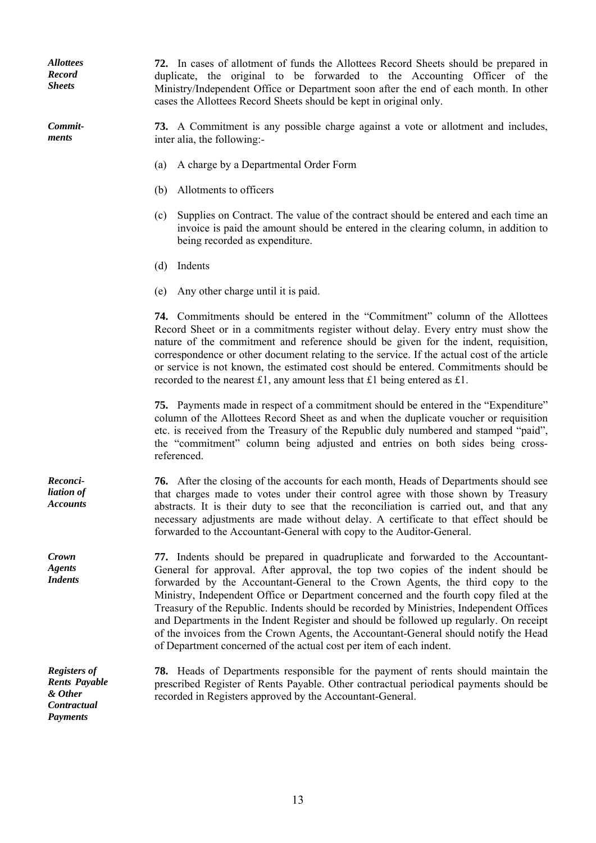*Allottees Record Sheets* 

*Commitments* 

**72.** In cases of allotment of funds the Allottees Record Sheets should be prepared in duplicate, the original to be forwarded to the Accounting Officer of the Ministry/Independent Office or Department soon after the end of each month. In other cases the Allottees Record Sheets should be kept in original only.

**73.** A Commitment is any possible charge against a vote or allotment and includes, inter alia, the following:-

- (a) A charge by a Departmental Order Form
- (b) Allotments to officers
- (c) Supplies on Contract. The value of the contract should be entered and each time an invoice is paid the amount should be entered in the clearing column, in addition to being recorded as expenditure.
- (d) Indents
- (e) Any other charge until it is paid.

 **74.** Commitments should be entered in the "Commitment" column of the Allottees Record Sheet or in a commitments register without delay. Every entry must show the nature of the commitment and reference should be given for the indent, requisition, correspondence or other document relating to the service. If the actual cost of the article or service is not known, the estimated cost should be entered. Commitments should be recorded to the nearest £1, any amount less that £1 being entered as £1.

 **75.** Payments made in respect of a commitment should be entered in the "Expenditure" column of the Allottees Record Sheet as and when the duplicate voucher or requisition etc. is received from the Treasury of the Republic duly numbered and stamped "paid", the "commitment" column being adjusted and entries on both sides being crossreferenced.

**76.** After the closing of the accounts for each month, Heads of Departments should see that charges made to votes under their control agree with those shown by Treasury abstracts. It is their duty to see that the reconciliation is carried out, and that any necessary adjustments are made without delay. A certificate to that effect should be forwarded to the Accountant-General with copy to the Auditor-General.

**77.** Indents should be prepared in quadruplicate and forwarded to the Accountant-General for approval. After approval, the top two copies of the indent should be forwarded by the Accountant-General to the Crown Agents, the third copy to the Ministry, Independent Office or Department concerned and the fourth copy filed at the Treasury of the Republic. Indents should be recorded by Ministries, Independent Offices and Departments in the Indent Register and should be followed up regularly. On receipt of the invoices from the Crown Agents, the Accountant-General should notify the Head of Department concerned of the actual cost per item of each indent.

**78.** Heads of Departments responsible for the payment of rents should maintain the prescribed Register of Rents Payable. Other contractual periodical payments should be recorded in Registers approved by the Accountant-General.

*Reconciliation of Accounts* 

*Crown Agents Indents* 

*Registers of Rents Payable & Other Contractual Payments*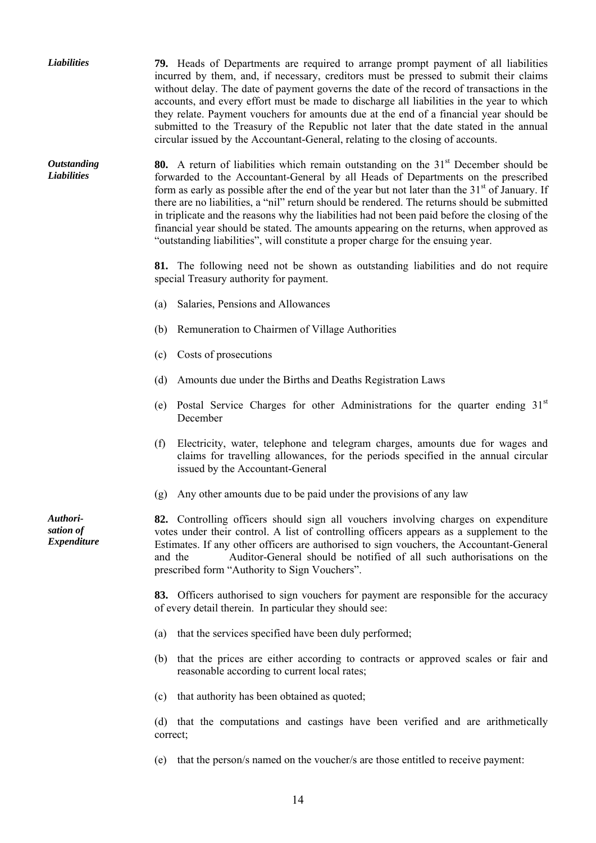*Liabilities* **79.** Heads of Departments are required to arrange prompt payment of all liabilities incurred by them, and, if necessary, creditors must be pressed to submit their claims without delay. The date of payment governs the date of the record of transactions in the accounts, and every effort must be made to discharge all liabilities in the year to which they relate. Payment vouchers for amounts due at the end of a financial year should be submitted to the Treasury of the Republic not later that the date stated in the annual circular issued by the Accountant-General, relating to the closing of accounts. *Outstanding Liabilities*  **80.** A return of liabilities which remain outstanding on the 31<sup>st</sup> December should be forwarded to the Accountant-General by all Heads of Departments on the prescribed form as early as possible after the end of the year but not later than the  $31<sup>st</sup>$  of January. If there are no liabilities, a "nil" return should be rendered. The returns should be submitted in triplicate and the reasons why the liabilities had not been paid before the closing of the financial year should be stated. The amounts appearing on the returns, when approved as "outstanding liabilities", will constitute a proper charge for the ensuing year. **81.** The following need not be shown as outstanding liabilities and do not require special Treasury authority for payment. (a) Salaries, Pensions and Allowances (b) Remuneration to Chairmen of Village Authorities (c) Costs of prosecutions (d) Amounts due under the Births and Deaths Registration Laws (e) Postal Service Charges for other Administrations for the quarter ending 31st December (f) Electricity, water, telephone and telegram charges, amounts due for wages and claims for travelling allowances, for the periods specified in the annual circular issued by the Accountant-General (g) Any other amounts due to be paid under the provisions of any law *Authorisation of Expenditure*  **82.** Controlling officers should sign all vouchers involving charges on expenditure votes under their control. A list of controlling officers appears as a supplement to the Estimates. If any other officers are authorised to sign vouchers, the Accountant-General and the Auditor-General should be notified of all such authorisations on the prescribed form "Authority to Sign Vouchers".  **83.** Officers authorised to sign vouchers for payment are responsible for the accuracy of every detail therein. In particular they should see: (a) that the services specified have been duly performed; (b) that the prices are either according to contracts or approved scales or fair and reasonable according to current local rates; (c) that authority has been obtained as quoted; (d) that the computations and castings have been verified and are arithmetically correct; (e) that the person/s named on the voucher/s are those entitled to receive payment: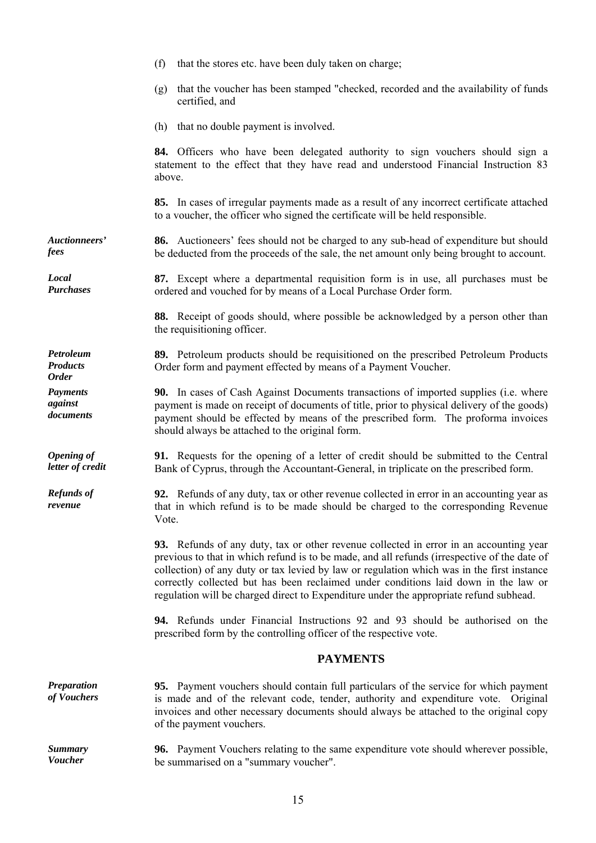|                                              | that the stores etc. have been duly taken on charge;<br>(f)                                                                                                                                                                                                                                                                                                                                                                                                           |
|----------------------------------------------|-----------------------------------------------------------------------------------------------------------------------------------------------------------------------------------------------------------------------------------------------------------------------------------------------------------------------------------------------------------------------------------------------------------------------------------------------------------------------|
|                                              | that the voucher has been stamped "checked, recorded and the availability of funds<br>(g)<br>certified, and                                                                                                                                                                                                                                                                                                                                                           |
|                                              | (h) that no double payment is involved.                                                                                                                                                                                                                                                                                                                                                                                                                               |
|                                              | 84. Officers who have been delegated authority to sign vouchers should sign a<br>statement to the effect that they have read and understood Financial Instruction 83<br>above.                                                                                                                                                                                                                                                                                        |
|                                              | 85. In cases of irregular payments made as a result of any incorrect certificate attached<br>to a voucher, the officer who signed the certificate will be held responsible.                                                                                                                                                                                                                                                                                           |
| Auctionneers'<br>fees                        | <b>86.</b> Auctioneers' fees should not be charged to any sub-head of expenditure but should<br>be deducted from the proceeds of the sale, the net amount only being brought to account.                                                                                                                                                                                                                                                                              |
| Local<br><b>Purchases</b>                    | 87. Except where a departmental requisition form is in use, all purchases must be<br>ordered and vouched for by means of a Local Purchase Order form.                                                                                                                                                                                                                                                                                                                 |
|                                              | 88. Receipt of goods should, where possible be acknowledged by a person other than<br>the requisitioning officer.                                                                                                                                                                                                                                                                                                                                                     |
| Petroleum<br><b>Products</b><br><b>Order</b> | 89. Petroleum products should be requisitioned on the prescribed Petroleum Products<br>Order form and payment effected by means of a Payment Voucher.                                                                                                                                                                                                                                                                                                                 |
| <b>Payments</b><br>against<br>documents      | <b>90.</b> In cases of Cash Against Documents transactions of imported supplies (i.e. where<br>payment is made on receipt of documents of title, prior to physical delivery of the goods)<br>payment should be effected by means of the prescribed form. The proforma invoices<br>should always be attached to the original form.                                                                                                                                     |
| <b>Opening of</b><br>letter of credit        | 91. Requests for the opening of a letter of credit should be submitted to the Central<br>Bank of Cyprus, through the Accountant-General, in triplicate on the prescribed form.                                                                                                                                                                                                                                                                                        |
| <b>Refunds of</b><br>revenue                 | <b>92.</b> Refunds of any duty, tax or other revenue collected in error in an accounting year as<br>that in which refund is to be made should be charged to the corresponding Revenue<br>Vote.                                                                                                                                                                                                                                                                        |
|                                              | 93. Refunds of any duty, tax or other revenue collected in error in an accounting year<br>previous to that in which refund is to be made, and all refunds (irrespective of the date of<br>collection) of any duty or tax levied by law or regulation which was in the first instance<br>correctly collected but has been reclaimed under conditions laid down in the law or<br>regulation will be charged direct to Expenditure under the appropriate refund subhead. |
|                                              | <b>94.</b> Refunds under Financial Instructions 92 and 93 should be authorised on the<br>prescribed form by the controlling officer of the respective vote.                                                                                                                                                                                                                                                                                                           |
|                                              | <b>PAYMENTS</b>                                                                                                                                                                                                                                                                                                                                                                                                                                                       |
| <b>Preparation</b><br>of Vouchers            | <b>95.</b> Payment vouchers should contain full particulars of the service for which payment<br>is made and of the relevant code, tender, authority and expenditure vote. Original<br>invoices and other necessary documents should always be attached to the original copy<br>of the payment vouchers.                                                                                                                                                               |
| <b>Summary</b><br><b>Voucher</b>             | <b>96.</b> Payment Vouchers relating to the same expenditure vote should wherever possible,<br>be summarised on a "summary voucher".                                                                                                                                                                                                                                                                                                                                  |

15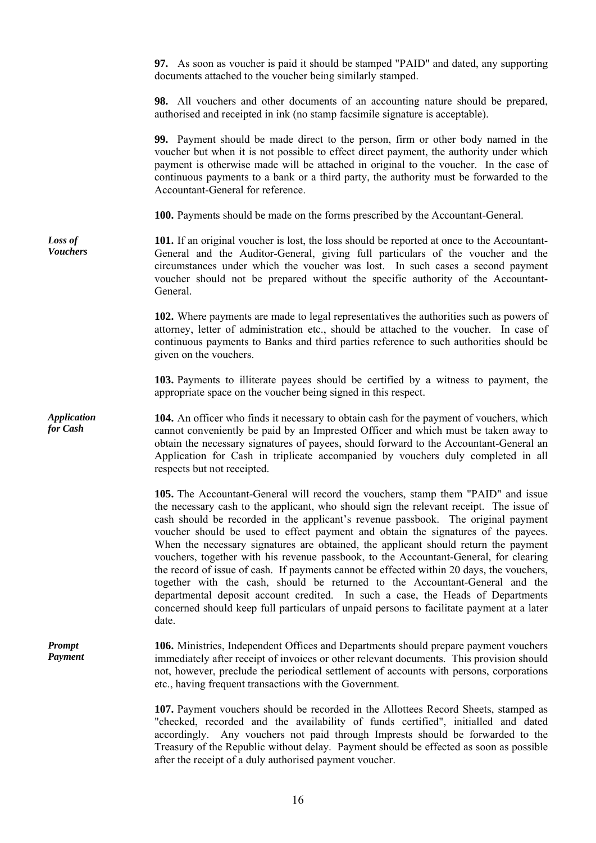**97.** As soon as voucher is paid it should be stamped "PAID" and dated, any supporting documents attached to the voucher being similarly stamped.

**98.** All vouchers and other documents of an accounting nature should be prepared, authorised and receipted in ink (no stamp facsimile signature is acceptable).

**99.** Payment should be made direct to the person, firm or other body named in the voucher but when it is not possible to effect direct payment, the authority under which payment is otherwise made will be attached in original to the voucher. In the case of continuous payments to a bank or a third party, the authority must be forwarded to the Accountant-General for reference.

 **100.** Payments should be made on the forms prescribed by the Accountant-General.

**101.** If an original voucher is lost, the loss should be reported at once to the Accountant-General and the Auditor-General, giving full particulars of the voucher and the circumstances under which the voucher was lost. In such cases a second payment voucher should not be prepared without the specific authority of the Accountant-General.

> **102.** Where payments are made to legal representatives the authorities such as powers of attorney, letter of administration etc., should be attached to the voucher. In case of continuous payments to Banks and third parties reference to such authorities should be given on the vouchers.

> **103.** Payments to illiterate payees should be certified by a witness to payment, the appropriate space on the voucher being signed in this respect.

**104.** An officer who finds it necessary to obtain cash for the payment of vouchers, which cannot conveniently be paid by an Imprested Officer and which must be taken away to obtain the necessary signatures of payees, should forward to the Accountant-General an Application for Cash in triplicate accompanied by vouchers duly completed in all respects but not receipted.

> **105.** The Accountant-General will record the vouchers, stamp them "PAID" and issue the necessary cash to the applicant, who should sign the relevant receipt. The issue of cash should be recorded in the applicant's revenue passbook. The original payment voucher should be used to effect payment and obtain the signatures of the payees. When the necessary signatures are obtained, the applicant should return the payment vouchers, together with his revenue passbook, to the Accountant-General, for clearing the record of issue of cash. If payments cannot be effected within 20 days, the vouchers, together with the cash, should be returned to the Accountant-General and the departmental deposit account credited. In such a case, the Heads of Departments concerned should keep full particulars of unpaid persons to facilitate payment at a later date.

*Prompt Payment*  **106.** Ministries, Independent Offices and Departments should prepare payment vouchers immediately after receipt of invoices or other relevant documents. This provision should not, however, preclude the periodical settlement of accounts with persons, corporations etc., having frequent transactions with the Government.

> **107.** Payment vouchers should be recorded in the Allottees Record Sheets, stamped as "checked, recorded and the availability of funds certified", initialled and dated accordingly. Any vouchers not paid through Imprests should be forwarded to the Treasury of the Republic without delay. Payment should be effected as soon as possible after the receipt of a duly authorised payment voucher.

*Loss of Vouchers* 

*Application for Cash*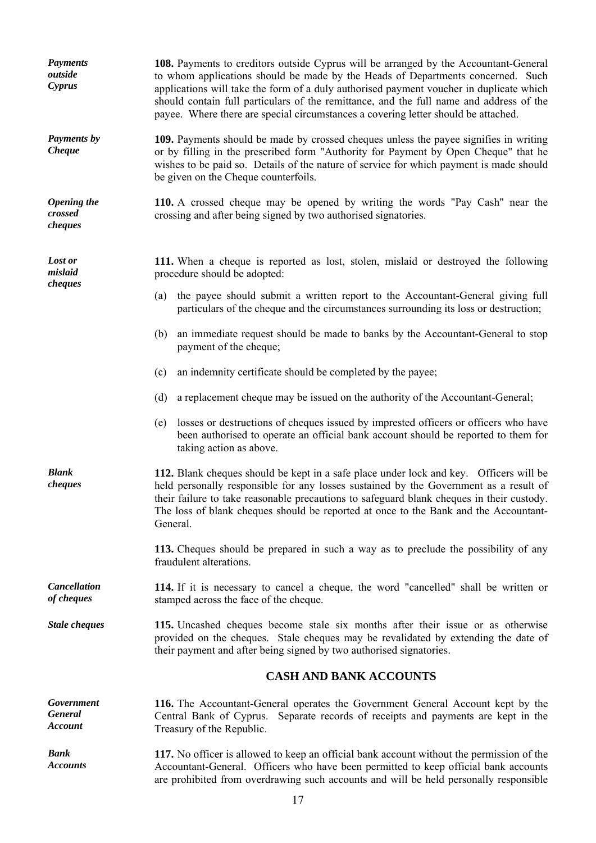| <b>Payments</b><br>outside<br>Cyprus           | <b>108.</b> Payments to creditors outside Cyprus will be arranged by the Accountant-General<br>to whom applications should be made by the Heads of Departments concerned. Such<br>applications will take the form of a duly authorised payment voucher in duplicate which<br>should contain full particulars of the remittance, and the full name and address of the<br>payee. Where there are special circumstances a covering letter should be attached. |  |
|------------------------------------------------|------------------------------------------------------------------------------------------------------------------------------------------------------------------------------------------------------------------------------------------------------------------------------------------------------------------------------------------------------------------------------------------------------------------------------------------------------------|--|
| Payments by<br><b>Cheque</b>                   | 109. Payments should be made by crossed cheques unless the payee signifies in writing<br>or by filling in the prescribed form "Authority for Payment by Open Cheque" that he<br>wishes to be paid so. Details of the nature of service for which payment is made should<br>be given on the Cheque counterfoils.                                                                                                                                            |  |
| <b>Opening the</b><br>crossed<br>cheques       | 110. A crossed cheque may be opened by writing the words "Pay Cash" near the<br>crossing and after being signed by two authorised signatories.                                                                                                                                                                                                                                                                                                             |  |
| Lost or<br>mislaid                             | 111. When a cheque is reported as lost, stolen, mislaid or destroyed the following<br>procedure should be adopted:                                                                                                                                                                                                                                                                                                                                         |  |
| cheques                                        | the payee should submit a written report to the Accountant-General giving full<br>(a)<br>particulars of the cheque and the circumstances surrounding its loss or destruction;                                                                                                                                                                                                                                                                              |  |
|                                                | an immediate request should be made to banks by the Accountant-General to stop<br>(b)<br>payment of the cheque;                                                                                                                                                                                                                                                                                                                                            |  |
|                                                | an indemnity certificate should be completed by the payee;<br>(c)                                                                                                                                                                                                                                                                                                                                                                                          |  |
|                                                | a replacement cheque may be issued on the authority of the Accountant-General;<br>(d)                                                                                                                                                                                                                                                                                                                                                                      |  |
|                                                | losses or destructions of cheques issued by imprested officers or officers who have<br>(e)<br>been authorised to operate an official bank account should be reported to them for<br>taking action as above.                                                                                                                                                                                                                                                |  |
| <b>Blank</b><br>cheques                        | 112. Blank cheques should be kept in a safe place under lock and key. Officers will be<br>held personally responsible for any losses sustained by the Government as a result of<br>their failure to take reasonable precautions to safeguard blank cheques in their custody.<br>The loss of blank cheques should be reported at once to the Bank and the Accountant-<br>General.                                                                           |  |
|                                                | 113. Cheques should be prepared in such a way as to preclude the possibility of any<br>fraudulent alterations.                                                                                                                                                                                                                                                                                                                                             |  |
| <b>Cancellation</b><br>of cheques              | 114. If it is necessary to cancel a cheque, the word "cancelled" shall be written or<br>stamped across the face of the cheque.                                                                                                                                                                                                                                                                                                                             |  |
| <b>Stale cheques</b>                           | 115. Uncashed cheques become stale six months after their issue or as otherwise<br>provided on the cheques. Stale cheques may be revalidated by extending the date of<br>their payment and after being signed by two authorised signatories.                                                                                                                                                                                                               |  |
|                                                | <b>CASH AND BANK ACCOUNTS</b>                                                                                                                                                                                                                                                                                                                                                                                                                              |  |
| Government<br><b>General</b><br><b>Account</b> | 116. The Accountant-General operates the Government General Account kept by the<br>Central Bank of Cyprus. Separate records of receipts and payments are kept in the<br>Treasury of the Republic.                                                                                                                                                                                                                                                          |  |
| <b>Bank</b><br><b>Accounts</b>                 | 117. No officer is allowed to keep an official bank account without the permission of the<br>Accountant-General. Officers who have been permitted to keep official bank accounts<br>are prohibited from overdrawing such accounts and will be held personally responsible                                                                                                                                                                                  |  |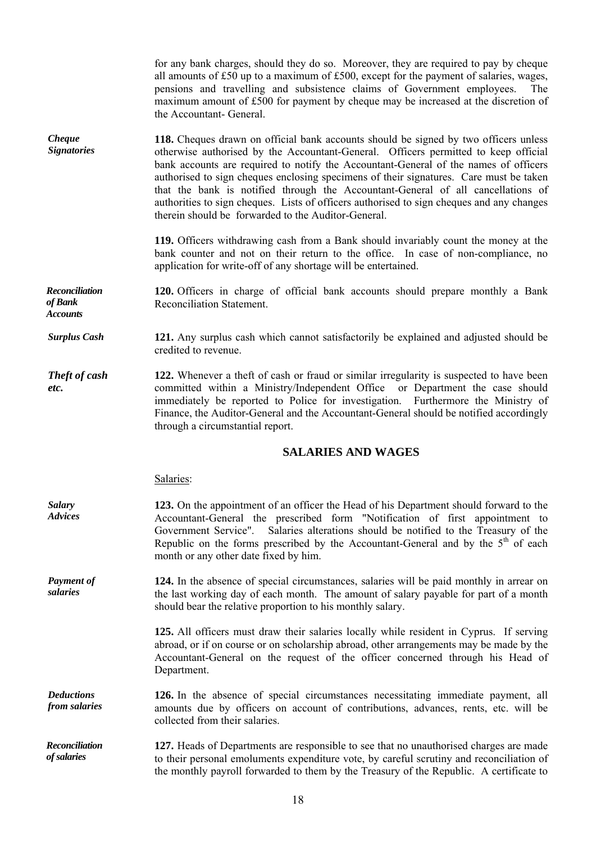for any bank charges, should they do so. Moreover, they are required to pay by cheque all amounts of £50 up to a maximum of £500, except for the payment of salaries, wages, pensions and travelling and subsistence claims of Government employees. The maximum amount of £500 for payment by cheque may be increased at the discretion of the Accountant- General.

*Cheque Signatories*  **118.** Cheques drawn on official bank accounts should be signed by two officers unless otherwise authorised by the Accountant-General. Officers permitted to keep official bank accounts are required to notify the Accountant-General of the names of officers authorised to sign cheques enclosing specimens of their signatures. Care must be taken that the bank is notified through the Accountant-General of all cancellations of authorities to sign cheques. Lists of officers authorised to sign cheques and any changes therein should be forwarded to the Auditor-General.

> **119.** Officers withdrawing cash from a Bank should invariably count the money at the bank counter and not on their return to the office. In case of non-compliance, no application for write-off of any shortage will be entertained.

*Reconciliation of Bank Accounts*  **120.** Officers in charge of official bank accounts should prepare monthly a Bank Reconciliation Statement.

*Surplus Cash* **121.** Any surplus cash which cannot satisfactorily be explained and adjusted should be credited to revenue.

*Theft of cash etc.*  **122.** Whenever a theft of cash or fraud or similar irregularity is suspected to have been committed within a Ministry/Independent Office or Department the case should immediately be reported to Police for investigation. Furthermore the Ministry of Finance, the Auditor-General and the Accountant-General should be notified accordingly through a circumstantial report.

#### **SALARIES AND WAGES**

|  | Salaries: |
|--|-----------|
|  |           |

*Salary Advices*  **123.** On the appointment of an officer the Head of his Department should forward to the Accountant-General the prescribed form "Notification of first appointment to Government Service". Salaries alterations should be notified to the Treasury of the Republic on the forms prescribed by the Accountant-General and by the  $5<sup>th</sup>$  of each month or any other date fixed by him.

*Payment of salaries*  **124.** In the absence of special circumstances, salaries will be paid monthly in arrear on the last working day of each month. The amount of salary payable for part of a month should bear the relative proportion to his monthly salary.

> **125.** All officers must draw their salaries locally while resident in Cyprus. If serving abroad, or if on course or on scholarship abroad, other arrangements may be made by the Accountant-General on the request of the officer concerned through his Head of Department.

*Deductions from salaries*  **126.** In the absence of special circumstances necessitating immediate payment, all amounts due by officers on account of contributions, advances, rents, etc. will be collected from their salaries.

*Reconciliation of salaries*  **127.** Heads of Departments are responsible to see that no unauthorised charges are made to their personal emoluments expenditure vote, by careful scrutiny and reconciliation of the monthly payroll forwarded to them by the Treasury of the Republic. A certificate to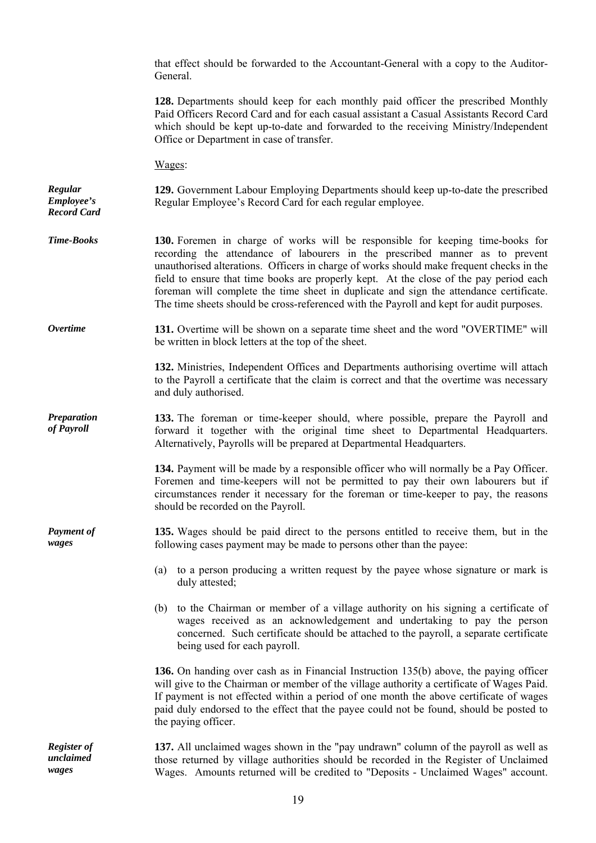|                                             | that effect should be forwarded to the Accountant-General with a copy to the Auditor-<br>General.                                                                                                                                                                                                                                                                                                                                                                                                                                          |  |
|---------------------------------------------|--------------------------------------------------------------------------------------------------------------------------------------------------------------------------------------------------------------------------------------------------------------------------------------------------------------------------------------------------------------------------------------------------------------------------------------------------------------------------------------------------------------------------------------------|--|
|                                             | 128. Departments should keep for each monthly paid officer the prescribed Monthly<br>Paid Officers Record Card and for each casual assistant a Casual Assistants Record Card<br>which should be kept up-to-date and forwarded to the receiving Ministry/Independent<br>Office or Department in case of transfer.                                                                                                                                                                                                                           |  |
|                                             | Wages:                                                                                                                                                                                                                                                                                                                                                                                                                                                                                                                                     |  |
| Regular<br>Employee's<br><b>Record Card</b> | 129. Government Labour Employing Departments should keep up-to-date the prescribed<br>Regular Employee's Record Card for each regular employee.                                                                                                                                                                                                                                                                                                                                                                                            |  |
| <b>Time-Books</b>                           | 130. Foremen in charge of works will be responsible for keeping time-books for<br>recording the attendance of labourers in the prescribed manner as to prevent<br>unauthorised alterations. Officers in charge of works should make frequent checks in the<br>field to ensure that time books are properly kept. At the close of the pay period each<br>foreman will complete the time sheet in duplicate and sign the attendance certificate.<br>The time sheets should be cross-referenced with the Payroll and kept for audit purposes. |  |
| <b>Overtime</b>                             | 131. Overtime will be shown on a separate time sheet and the word "OVERTIME" will<br>be written in block letters at the top of the sheet.                                                                                                                                                                                                                                                                                                                                                                                                  |  |
|                                             | 132. Ministries, Independent Offices and Departments authorising overtime will attach<br>to the Payroll a certificate that the claim is correct and that the overtime was necessary<br>and duly authorised.                                                                                                                                                                                                                                                                                                                                |  |
| <b>Preparation</b><br>of Payroll            | 133. The foreman or time-keeper should, where possible, prepare the Payroll and<br>forward it together with the original time sheet to Departmental Headquarters.<br>Alternatively, Payrolls will be prepared at Departmental Headquarters.                                                                                                                                                                                                                                                                                                |  |
|                                             | 134. Payment will be made by a responsible officer who will normally be a Pay Officer.<br>Foremen and time-keepers will not be permitted to pay their own labourers but if<br>circumstances render it necessary for the foreman or time-keeper to pay, the reasons<br>should be recorded on the Payroll.                                                                                                                                                                                                                                   |  |
| <b>Payment of</b><br>wages                  | 135. Wages should be paid direct to the persons entitled to receive them, but in the<br>following cases payment may be made to persons other than the payee:                                                                                                                                                                                                                                                                                                                                                                               |  |
|                                             | (a) to a person producing a written request by the payee whose signature or mark is<br>duly attested;                                                                                                                                                                                                                                                                                                                                                                                                                                      |  |
|                                             | (b) to the Chairman or member of a village authority on his signing a certificate of<br>wages received as an acknowledgement and undertaking to pay the person<br>concerned. Such certificate should be attached to the payroll, a separate certificate<br>being used for each payroll.                                                                                                                                                                                                                                                    |  |
|                                             | 136. On handing over cash as in Financial Instruction 135(b) above, the paying officer<br>will give to the Chairman or member of the village authority a certificate of Wages Paid.<br>If payment is not effected within a period of one month the above certificate of wages<br>paid duly endorsed to the effect that the payee could not be found, should be posted to<br>the paying officer.                                                                                                                                            |  |
| <b>Register of</b><br>unclaimed<br>wages    | 137. All unclaimed wages shown in the "pay undrawn" column of the payroll as well as<br>those returned by village authorities should be recorded in the Register of Unclaimed<br>Wages. Amounts returned will be credited to "Deposits - Unclaimed Wages" account.                                                                                                                                                                                                                                                                         |  |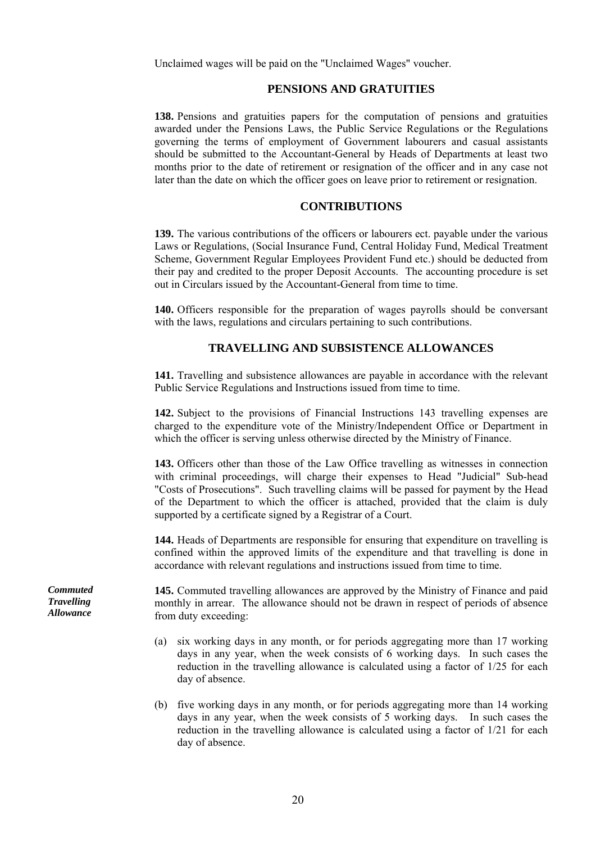Unclaimed wages will be paid on the "Unclaimed Wages" voucher.

## **PENSIONS AND GRATUITIES**

 **138.** Pensions and gratuities papers for the computation of pensions and gratuities awarded under the Pensions Laws, the Public Service Regulations or the Regulations governing the terms of employment of Government labourers and casual assistants should be submitted to the Accountant-General by Heads of Departments at least two months prior to the date of retirement or resignation of the officer and in any case not later than the date on which the officer goes on leave prior to retirement or resignation.

## **CONTRIBUTIONS**

 **139.** The various contributions of the officers or labourers ect. payable under the various Laws or Regulations, (Social Insurance Fund, Central Holiday Fund, Medical Treatment Scheme, Government Regular Employees Provident Fund etc.) should be deducted from their pay and credited to the proper Deposit Accounts. The accounting procedure is set out in Circulars issued by the Accountant-General from time to time.

 **140.** Officers responsible for the preparation of wages payrolls should be conversant with the laws, regulations and circulars pertaining to such contributions.

## **TRAVELLING AND SUBSISTENCE ALLOWANCES**

 **141.** Travelling and subsistence allowances are payable in accordance with the relevant Public Service Regulations and Instructions issued from time to time.

 **142.** Subject to the provisions of Financial Instructions 143 travelling expenses are charged to the expenditure vote of the Ministry/Independent Office or Department in which the officer is serving unless otherwise directed by the Ministry of Finance.

 **143.** Officers other than those of the Law Office travelling as witnesses in connection with criminal proceedings, will charge their expenses to Head "Judicial" Sub-head "Costs of Prosecutions". Such travelling claims will be passed for payment by the Head of the Department to which the officer is attached, provided that the claim is duly supported by a certificate signed by a Registrar of a Court.

 **144.** Heads of Departments are responsible for ensuring that expenditure on travelling is confined within the approved limits of the expenditure and that travelling is done in accordance with relevant regulations and instructions issued from time to time.

**145.** Commuted travelling allowances are approved by the Ministry of Finance and paid monthly in arrear. The allowance should not be drawn in respect of periods of absence from duty exceeding:

- (a) six working days in any month, or for periods aggregating more than 17 working days in any year, when the week consists of 6 working days. In such cases the reduction in the travelling allowance is calculated using a factor of 1/25 for each day of absence.
- (b) five working days in any month, or for periods aggregating more than 14 working days in any year, when the week consists of 5 working days. In such cases the reduction in the travelling allowance is calculated using a factor of 1/21 for each day of absence.

*Commuted Travelling Allowance*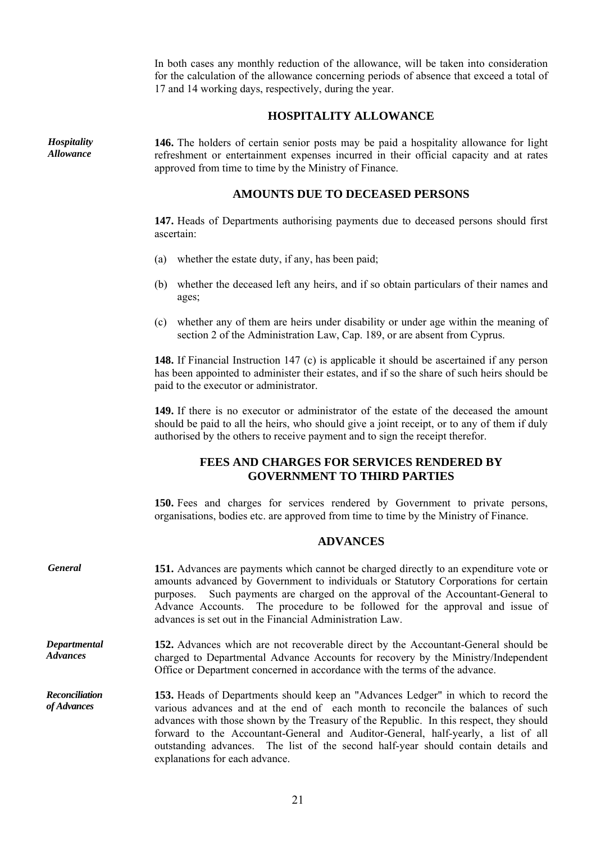In both cases any monthly reduction of the allowance, will be taken into consideration for the calculation of the allowance concerning periods of absence that exceed a total of 17 and 14 working days, respectively, during the year.

## **HOSPITALITY ALLOWANCE**

*Hospitality Allowance* 

**146.** The holders of certain senior posts may be paid a hospitality allowance for light refreshment or entertainment expenses incurred in their official capacity and at rates approved from time to time by the Ministry of Finance.

## **AMOUNTS DUE TO DECEASED PERSONS**

 **147.** Heads of Departments authorising payments due to deceased persons should first ascertain:

- (a) whether the estate duty, if any, has been paid;
- (b) whether the deceased left any heirs, and if so obtain particulars of their names and ages;
- (c) whether any of them are heirs under disability or under age within the meaning of section 2 of the Administration Law, Cap. 189, or are absent from Cyprus.

 **148.** If Financial Instruction 147 (c) is applicable it should be ascertained if any person has been appointed to administer their estates, and if so the share of such heirs should be paid to the executor or administrator.

 **149.** If there is no executor or administrator of the estate of the deceased the amount should be paid to all the heirs, who should give a joint receipt, or to any of them if duly authorised by the others to receive payment and to sign the receipt therefor.

## **FEES AND CHARGES FOR SERVICES RENDERED BY GOVERNMENT TO THIRD PARTIES**

 **150.** Fees and charges for services rendered by Government to private persons, organisations, bodies etc. are approved from time to time by the Ministry of Finance.

## **ADVANCES**

| <b>General</b>                       | 151. Advances are payments which cannot be charged directly to an expenditure vote or<br>amounts advanced by Government to individuals or Statutory Corporations for certain<br>Such payments are charged on the approval of the Accountant-General to<br>purposes.<br>Advance Accounts. The procedure to be followed for the approval and issue of<br>advances is set out in the Financial Administration Law.                                                                    |
|--------------------------------------|------------------------------------------------------------------------------------------------------------------------------------------------------------------------------------------------------------------------------------------------------------------------------------------------------------------------------------------------------------------------------------------------------------------------------------------------------------------------------------|
| Departmental<br><b>Advances</b>      | <b>152.</b> Advances which are not recoverable direct by the Accountant-General should be<br>charged to Departmental Advance Accounts for recovery by the Ministry/Independent<br>Office or Department concerned in accordance with the terms of the advance.                                                                                                                                                                                                                      |
| <b>Reconciliation</b><br>of Advances | <b>153.</b> Heads of Departments should keep an "Advances Ledger" in which to record the<br>various advances and at the end of each month to reconcile the balances of such<br>advances with those shown by the Treasury of the Republic. In this respect, they should<br>forward to the Accountant-General and Auditor-General, half-yearly, a list of all<br>outstanding advances. The list of the second half-year should contain details and<br>explanations for each advance. |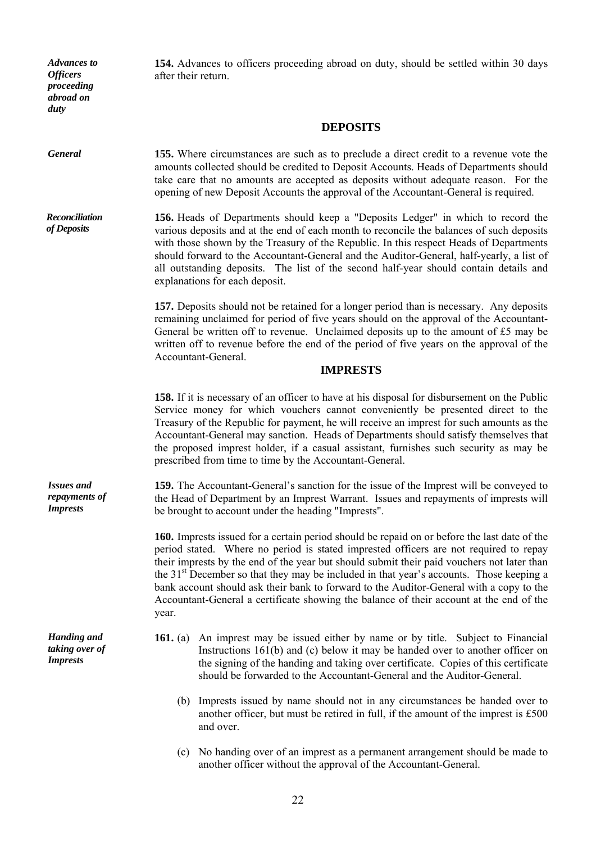*Advances to Officers proceeding abroad on duty* 

**154.** Advances to officers proceeding abroad on duty, should be settled within 30 days after their return.

## **DEPOSITS**

*General* **155.** Where circumstances are such as to preclude a direct credit to a revenue vote the amounts collected should be credited to Deposit Accounts. Heads of Departments should take care that no amounts are accepted as deposits without adequate reason. For the opening of new Deposit Accounts the approval of the Accountant-General is required.

*Reconciliation of Deposits*  **156.** Heads of Departments should keep a "Deposits Ledger" in which to record the various deposits and at the end of each month to reconcile the balances of such deposits with those shown by the Treasury of the Republic. In this respect Heads of Departments should forward to the Accountant-General and the Auditor-General, half-yearly, a list of all outstanding deposits. The list of the second half-year should contain details and explanations for each deposit.

> **157.** Deposits should not be retained for a longer period than is necessary. Any deposits remaining unclaimed for period of five years should on the approval of the Accountant-General be written off to revenue. Unclaimed deposits up to the amount of  $£5$  may be written off to revenue before the end of the period of five years on the approval of the Accountant-General.

## **IMPRESTS**

 **158.** If it is necessary of an officer to have at his disposal for disbursement on the Public Service money for which vouchers cannot conveniently be presented direct to the Treasury of the Republic for payment, he will receive an imprest for such amounts as the Accountant-General may sanction. Heads of Departments should satisfy themselves that the proposed imprest holder, if a casual assistant, furnishes such security as may be prescribed from time to time by the Accountant-General.

**159.** The Accountant-General's sanction for the issue of the Imprest will be conveyed to the Head of Department by an Imprest Warrant. Issues and repayments of imprests will be brought to account under the heading "Imprests".

 **160.** Imprests issued for a certain period should be repaid on or before the last date of the period stated. Where no period is stated imprested officers are not required to repay their imprests by the end of the year but should submit their paid vouchers not later than the 31<sup>st</sup> December so that they may be included in that year's accounts. Those keeping a bank account should ask their bank to forward to the Auditor-General with a copy to the Accountant-General a certificate showing the balance of their account at the end of the year.

- **161.** (a) An imprest may be issued either by name or by title. Subject to Financial Instructions 161(b) and (c) below it may be handed over to another officer on the signing of the handing and taking over certificate. Copies of this certificate should be forwarded to the Accountant-General and the Auditor-General.
	- (b) Imprests issued by name should not in any circumstances be handed over to another officer, but must be retired in full, if the amount of the imprest is £500 and over.
	- (c) No handing over of an imprest as a permanent arrangement should be made to another officer without the approval of the Accountant-General.

*Issues and repayments of Imprests* 

*Handing and taking over of Imprests*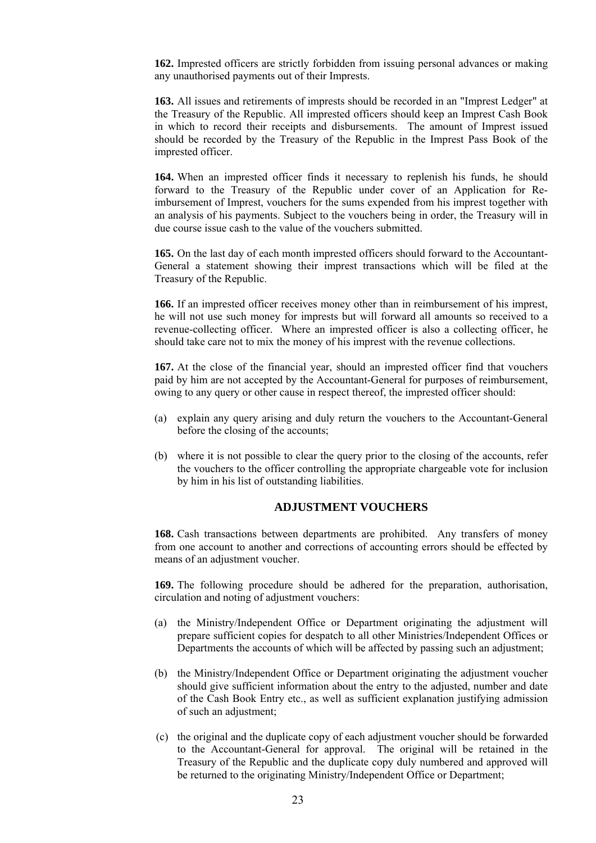**162.** Imprested officers are strictly forbidden from issuing personal advances or making any unauthorised payments out of their Imprests.

 **163.** All issues and retirements of imprests should be recorded in an "Imprest Ledger" at the Treasury of the Republic. All imprested officers should keep an Imprest Cash Book in which to record their receipts and disbursements. The amount of Imprest issued should be recorded by the Treasury of the Republic in the Imprest Pass Book of the imprested officer.

 **164.** When an imprested officer finds it necessary to replenish his funds, he should forward to the Treasury of the Republic under cover of an Application for Reimbursement of Imprest, vouchers for the sums expended from his imprest together with an analysis of his payments. Subject to the vouchers being in order, the Treasury will in due course issue cash to the value of the vouchers submitted.

 **165.** On the last day of each month imprested officers should forward to the Accountant-General a statement showing their imprest transactions which will be filed at the Treasury of the Republic.

 **166.** If an imprested officer receives money other than in reimbursement of his imprest, he will not use such money for imprests but will forward all amounts so received to a revenue-collecting officer. Where an imprested officer is also a collecting officer, he should take care not to mix the money of his imprest with the revenue collections.

 **167.** At the close of the financial year, should an imprested officer find that vouchers paid by him are not accepted by the Accountant-General for purposes of reimbursement, owing to any query or other cause in respect thereof, the imprested officer should:

- (a) explain any query arising and duly return the vouchers to the Accountant-General before the closing of the accounts;
- (b) where it is not possible to clear the query prior to the closing of the accounts, refer the vouchers to the officer controlling the appropriate chargeable vote for inclusion by him in his list of outstanding liabilities.

## **ADJUSTMENT VOUCHERS**

 **168.** Cash transactions between departments are prohibited. Any transfers of money from one account to another and corrections of accounting errors should be effected by means of an adjustment voucher.

 **169.** The following procedure should be adhered for the preparation, authorisation, circulation and noting of adjustment vouchers:

- (a) the Ministry/Independent Office or Department originating the adjustment will prepare sufficient copies for despatch to all other Ministries/Independent Offices or Departments the accounts of which will be affected by passing such an adjustment;
- (b) the Ministry/Independent Office or Department originating the adjustment voucher should give sufficient information about the entry to the adjusted, number and date of the Cash Book Entry etc., as well as sufficient explanation justifying admission of such an adjustment;
- (c) the original and the duplicate copy of each adjustment voucher should be forwarded to the Accountant-General for approval. The original will be retained in the Treasury of the Republic and the duplicate copy duly numbered and approved will be returned to the originating Ministry/Independent Office or Department;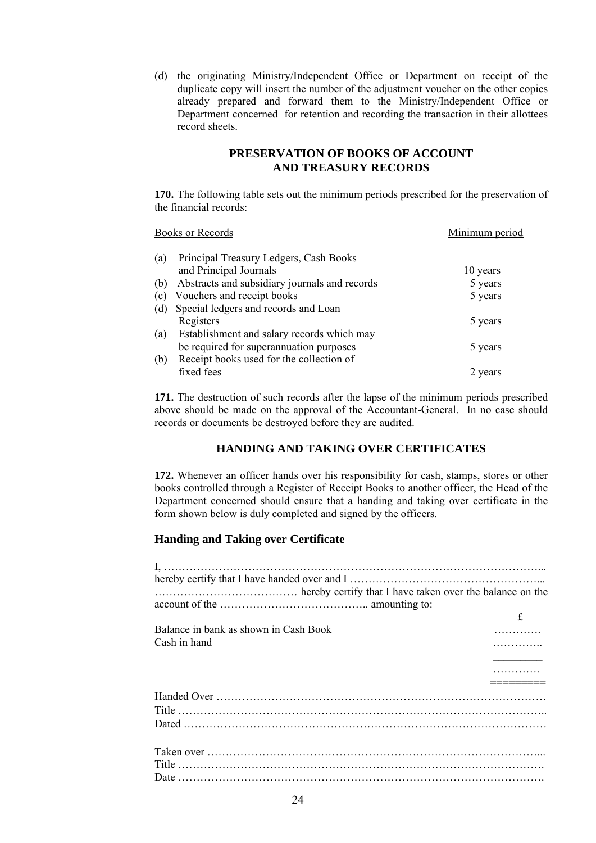(d) the originating Ministry/Independent Office or Department οn receipt of the duplicate copy will insert the number of the adjustment voucher on the other copies already prepared and forward them to the Ministry/Independent Office or Department concerned for retention and recording the transaction in their allottees record sheets.

## **PRESERVATION OF BOOKS OF ACCOUNT AND TREASURY RECORDS**

 **170.** The following table sets out the minimum periods prescribed for the preservation of the financial records:

|     | <b>Books or Records</b>                       | Minimum period |
|-----|-----------------------------------------------|----------------|
| (a) | Principal Treasury Ledgers, Cash Books        |                |
|     | and Principal Journals                        | 10 years       |
| (b) | Abstracts and subsidiary journals and records | 5 years        |
| (c) | Vouchers and receipt books                    | 5 years        |
| (d) | Special ledgers and records and Loan          |                |
|     | Registers                                     | 5 years        |
| (a) | Establishment and salary records which may    |                |
|     | be required for superannuation purposes       | 5 years        |
| (b) | Receipt books used for the collection of      |                |
|     | fixed fees                                    | 2 years        |

 **171.** The destruction of such records after the lapse of the minimum periods prescribed above should be made on the approval of the Accountant-General. In no case should records or documents be destroyed before they are audited.

## **HANDING AND TAKING OVER CERTIFICATES**

 **172.** Whenever an officer hands over his responsibility for cash, stamps, stores or other books controlled through a Register of Receipt Books to another officer, the Head of the Department concerned should ensure that a handing and taking over certificate in the form shown below is duly completed and signed by the officers.

#### **Handing and Taking over Certificate**

| Balance in bank as shown in Cash Book |  |
|---------------------------------------|--|
| Cash in hand                          |  |
|                                       |  |
|                                       |  |
|                                       |  |
|                                       |  |
|                                       |  |